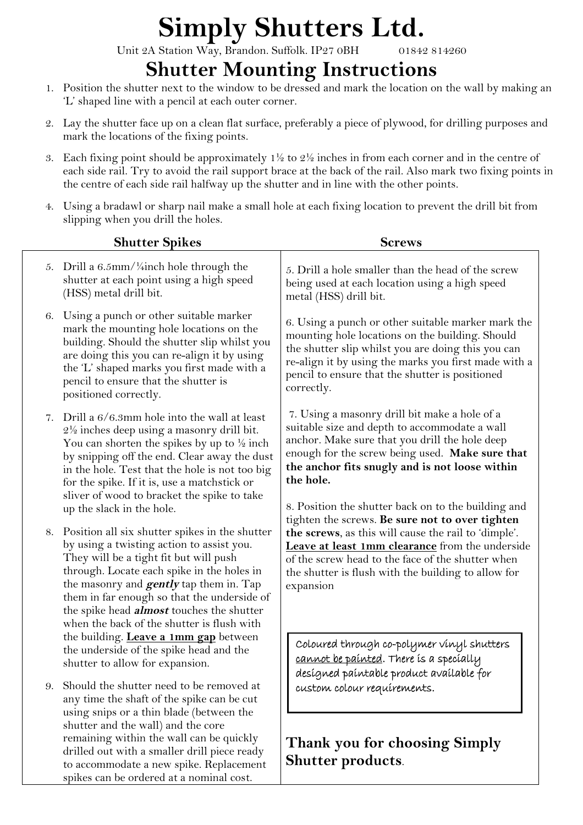## **Simply Shutters Ltd.**

Unit 2A Station Way, Brandon. Suffolk. IP27 0BH 01842 814260

**Shutter Mounting Instructions**

- 1. Position the shutter next to the window to be dressed and mark the location on the wall by making an 'L' shaped line with a pencil at each outer corner.
- 2. Lay the shutter face up on a clean flat surface, preferably a piece of plywood, for drilling purposes and mark the locations of the fixing points.
- 3. Each fixing point should be approximately  $1\frac{1}{2}$  to  $2\frac{1}{2}$  inches in from each corner and in the centre of each side rail. Try to avoid the rail support brace at the back of the rail. Also mark two fixing points in the centre of each side rail halfway up the shutter and in line with the other points.
- 4. Using a bradawl or sharp nail make a small hole at each fixing location to prevent the drill bit from slipping when you drill the holes.

|    | <b>Shutter Spikes</b>                                                                                                                                                                                                                                                                                                                                                                        | <b>Screws</b>                                                                                                                                                                                                                                                                                                             |
|----|----------------------------------------------------------------------------------------------------------------------------------------------------------------------------------------------------------------------------------------------------------------------------------------------------------------------------------------------------------------------------------------------|---------------------------------------------------------------------------------------------------------------------------------------------------------------------------------------------------------------------------------------------------------------------------------------------------------------------------|
| 5. | Drill a $6.5$ mm/ $\frac{1}{4}$ inch hole through the<br>shutter at each point using a high speed<br>(HSS) metal drill bit.                                                                                                                                                                                                                                                                  | 5. Drill a hole smaller than the head of the screw<br>being used at each location using a high speed<br>metal (HSS) drill bit.                                                                                                                                                                                            |
| 6. | Using a punch or other suitable marker<br>mark the mounting hole locations on the<br>building. Should the shutter slip whilst you<br>are doing this you can re-align it by using<br>the 'L' shaped marks you first made with a<br>pencil to ensure that the shutter is<br>positioned correctly.                                                                                              | 6. Using a punch or other suitable marker mark the<br>mounting hole locations on the building. Should<br>the shutter slip whilst you are doing this you can<br>re-align it by using the marks you first made with a<br>pencil to ensure that the shutter is positioned<br>correctly.                                      |
| 7. | Drill a 6/6.3mm hole into the wall at least<br>$2\frac{1}{2}$ inches deep using a masonry drill bit.<br>You can shorten the spikes by up to $\frac{1}{2}$ inch<br>by snipping off the end. Clear away the dust<br>in the hole. Test that the hole is not too big<br>for the spike. If it is, use a matchstick or<br>sliver of wood to bracket the spike to take<br>up the slack in the hole. | 7. Using a masonry drill bit make a hole of a<br>suitable size and depth to accommodate a wall<br>anchor. Make sure that you drill the hole deep<br>enough for the screw being used. Make sure that<br>the anchor fits snugly and is not loose within<br>the hole.<br>8. Position the shutter back on to the building and |
|    | 8. Position all six shutter spikes in the shutter<br>by using a twisting action to assist you.<br>They will be a tight fit but will push<br>through. Locate each spike in the holes in<br>the masonry and <b>gently</b> tap them in. Tap<br>them in far enough so that the underside of<br>the spike head <i>almost</i> touches the shutter<br>when the back of the shutter is flush with    | tighten the screws. Be sure not to over tighten<br>the screws, as this will cause the rail to 'dimple'.<br>Leave at least 1mm clearance from the underside<br>of the screw head to the face of the shutter when<br>the shutter is flush with the building to allow for<br>expansion                                       |
| 9. | the building. Leave a 1mm gap between<br>the underside of the spike head and the<br>shutter to allow for expansion.<br>Should the shutter need to be removed at                                                                                                                                                                                                                              | Coloured through co-polymer vinyl shutters<br>cannot be painted. There is a specially<br>desígned paíntable product avaílable for<br>custom colour requirements.                                                                                                                                                          |
|    | any time the shaft of the spike can be cut<br>using snips or a thin blade (between the<br>shutter and the wall) and the core<br>remaining within the wall can be quickly<br>drilled out with a smaller drill piece ready<br>to accommodate a new spike. Replacement                                                                                                                          | Thank you for choosing Simply<br><b>Shutter products.</b>                                                                                                                                                                                                                                                                 |

spikes can be ordered at a nominal cost.